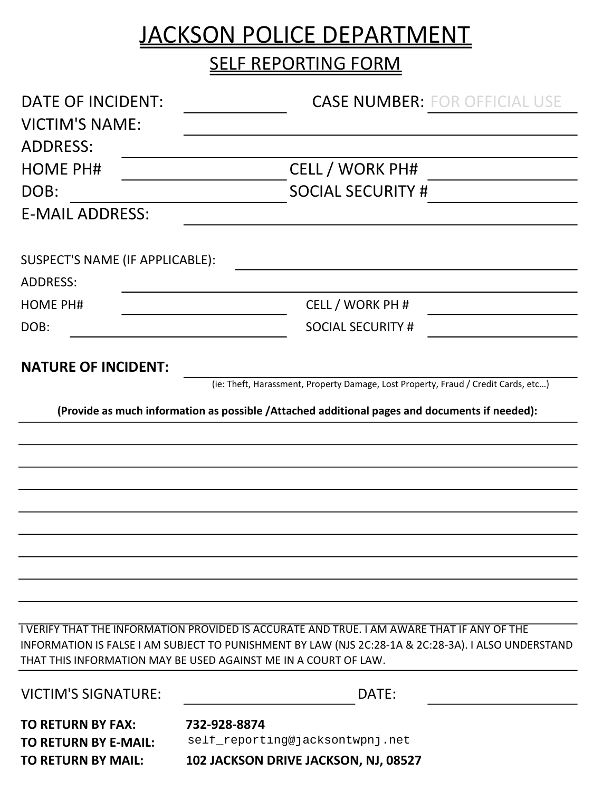## JACKSON POLICE DEPARTMENT

**SELF REPORTING FORM** 

| <b>DATE OF INCIDENT:</b>        | <b>CASE NUMBER: FOR OFFICIAL USE</b>                                                                                                                                                                                                                                 |
|---------------------------------|----------------------------------------------------------------------------------------------------------------------------------------------------------------------------------------------------------------------------------------------------------------------|
| <b>VICTIM'S NAME:</b>           |                                                                                                                                                                                                                                                                      |
| <b>ADDRESS:</b>                 |                                                                                                                                                                                                                                                                      |
| <b>HOME PH#</b>                 | <b>CELL / WORK PH#</b>                                                                                                                                                                                                                                               |
| DOB:                            | <b>SOCIAL SECURITY #</b>                                                                                                                                                                                                                                             |
| <b>E-MAIL ADDRESS:</b>          |                                                                                                                                                                                                                                                                      |
| SUSPECT'S NAME (IF APPLICABLE): |                                                                                                                                                                                                                                                                      |
| <b>ADDRESS:</b>                 |                                                                                                                                                                                                                                                                      |
| <b>HOME PH#</b>                 | CELL / WORK PH #                                                                                                                                                                                                                                                     |
| DOB:                            | <b>SOCIAL SECURITY #</b>                                                                                                                                                                                                                                             |
| <b>NATURE OF INCIDENT:</b>      |                                                                                                                                                                                                                                                                      |
|                                 | (ie: Theft, Harassment, Property Damage, Lost Property, Fraud / Credit Cards, etc)                                                                                                                                                                                   |
|                                 | (Provide as much information as possible /Attached additional pages and documents if needed):                                                                                                                                                                        |
|                                 |                                                                                                                                                                                                                                                                      |
|                                 |                                                                                                                                                                                                                                                                      |
|                                 |                                                                                                                                                                                                                                                                      |
|                                 |                                                                                                                                                                                                                                                                      |
|                                 |                                                                                                                                                                                                                                                                      |
|                                 |                                                                                                                                                                                                                                                                      |
|                                 |                                                                                                                                                                                                                                                                      |
|                                 |                                                                                                                                                                                                                                                                      |
|                                 |                                                                                                                                                                                                                                                                      |
|                                 | I VERIFY THAT THE INFORMATION PROVIDED IS ACCURATE AND TRUE. I AM AWARE THAT IF ANY OF THE<br>INFORMATION IS FALSE I AM SUBJECT TO PUNISHMENT BY LAW (NJS 2C:28-1A & 2C:28-3A). I ALSO UNDERSTAND<br>THAT THIS INFORMATION MAY BE USED AGAINST ME IN A COURT OF LAW. |
| <b>VICTIM'S SIGNATURE:</b>      | DATE:                                                                                                                                                                                                                                                                |
| <b>TO RETURN BY FAX:</b>        | 732-928-8874                                                                                                                                                                                                                                                         |
| <b>TO RETURN BY E-MAIL:</b>     | self_reporting@jacksontwpnj.net                                                                                                                                                                                                                                      |
| <b>TO RETURN BY MAIL:</b>       | 102 JACKSON DRIVE JACKSON, NJ, 08527                                                                                                                                                                                                                                 |